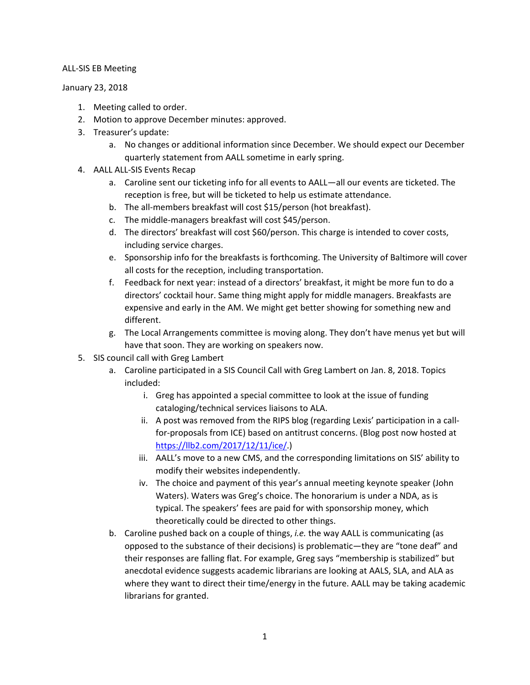### ALL-SIS EB Meeting

#### January 23, 2018

- 1. Meeting called to order.
- 2. Motion to approve December minutes: approved.
- 3. Treasurer's update:
	- a. No changes or additional information since December. We should expect our December quarterly statement from AALL sometime in early spring.
- 4. AALL ALL-SIS Events Recap
	- a. Caroline sent our ticketing info for all events to AALL—all our events are ticketed. The reception is free, but will be ticketed to help us estimate attendance.
	- b. The all-members breakfast will cost \$15/person (hot breakfast).
	- c. The middle-managers breakfast will cost \$45/person.
	- d. The directors' breakfast will cost \$60/person. This charge is intended to cover costs, including service charges.
	- e. Sponsorship info for the breakfasts is forthcoming. The University of Baltimore will cover all costs for the reception, including transportation.
	- f. Feedback for next year: instead of a directors' breakfast, it might be more fun to do a directors' cocktail hour. Same thing might apply for middle managers. Breakfasts are expensive and early in the AM. We might get better showing for something new and different.
	- g. The Local Arrangements committee is moving along. They don't have menus yet but will have that soon. They are working on speakers now.
- 5. SIS council call with Greg Lambert
	- a. Caroline participated in a SIS Council Call with Greg Lambert on Jan. 8, 2018. Topics included:
		- i. Greg has appointed a special committee to look at the issue of funding cataloging/technical services liaisons to ALA.
		- ii. A post was removed from the RIPS blog (regarding Lexis' participation in a callfor-proposals from ICE) based on antitrust concerns. (Blog post now hosted at [https://llb2.com/2017/12/11/ice/.](https://llb2.com/2017/12/11/ice/))
		- iii. AALL's move to a new CMS, and the corresponding limitations on SIS' ability to modify their websites independently.
		- iv. The choice and payment of this year's annual meeting keynote speaker (John Waters). Waters was Greg's choice. The honorarium is under a NDA, as is typical. The speakers' fees are paid for with sponsorship money, which theoretically could be directed to other things.
	- b. Caroline pushed back on a couple of things, *i.e.* the way AALL is communicating (as opposed to the substance of their decisions) is problematic—they are "tone deaf" and their responses are falling flat. For example, Greg says "membership is stabilized" but anecdotal evidence suggests academic librarians are looking at AALS, SLA, and ALA as where they want to direct their time/energy in the future. AALL may be taking academic librarians for granted.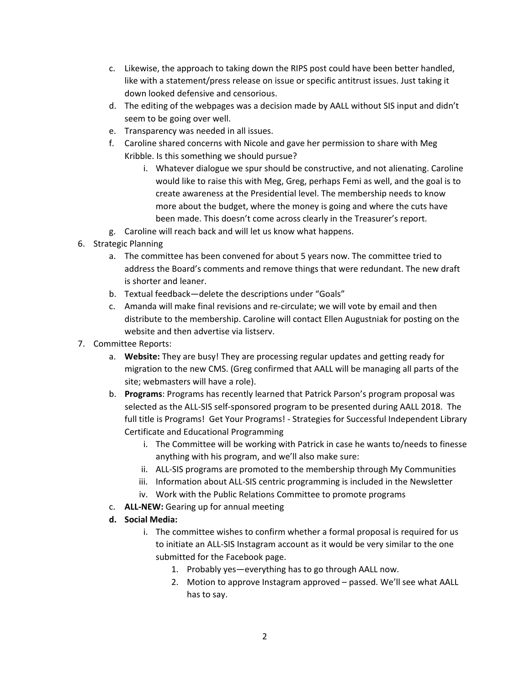- c. Likewise, the approach to taking down the RIPS post could have been better handled, like with a statement/press release on issue or specific antitrust issues. Just taking it down looked defensive and censorious.
- d. The editing of the webpages was a decision made by AALL without SIS input and didn't seem to be going over well.
- e. Transparency was needed in all issues.
- f. Caroline shared concerns with Nicole and gave her permission to share with Meg Kribble. Is this something we should pursue?
	- i. Whatever dialogue we spur should be constructive, and not alienating. Caroline would like to raise this with Meg, Greg, perhaps Femi as well, and the goal is to create awareness at the Presidential level. The membership needs to know more about the budget, where the money is going and where the cuts have been made. This doesn't come across clearly in the Treasurer's report.
- g. Caroline will reach back and will let us know what happens.
- 6. Strategic Planning
	- a. The committee has been convened for about 5 years now. The committee tried to address the Board's comments and remove things that were redundant. The new draft is shorter and leaner.
	- b. Textual feedback—delete the descriptions under "Goals"
	- c. Amanda will make final revisions and re-circulate; we will vote by email and then distribute to the membership. Caroline will contact Ellen Augustniak for posting on the website and then advertise via listserv.
- 7. Committee Reports:
	- a. **Website:** They are busy! They are processing regular updates and getting ready for migration to the new CMS. (Greg confirmed that AALL will be managing all parts of the site; webmasters will have a role).
	- b. **Programs**: Programs has recently learned that Patrick Parson's program proposal was selected as the ALL-SIS self-sponsored program to be presented during AALL 2018. The full title is Programs! Get Your Programs! - Strategies for Successful Independent Library Certificate and Educational Programming
		- i. The Committee will be working with Patrick in case he wants to/needs to finesse anything with his program, and we'll also make sure:
		- ii. ALL-SIS programs are promoted to the membership through My Communities
		- iii. Information about ALL-SIS centric programming is included in the Newsletter
		- iv. Work with the Public Relations Committee to promote programs
	- c. **ALL-NEW:** Gearing up for annual meeting
	- **d. Social Media:**
		- i. The committee wishes to confirm whether a formal proposal is required for us to initiate an ALL-SIS Instagram account as it would be very similar to the one submitted for the Facebook page.
			- 1. Probably yes—everything has to go through AALL now.
			- 2. Motion to approve Instagram approved passed. We'll see what AALL has to say.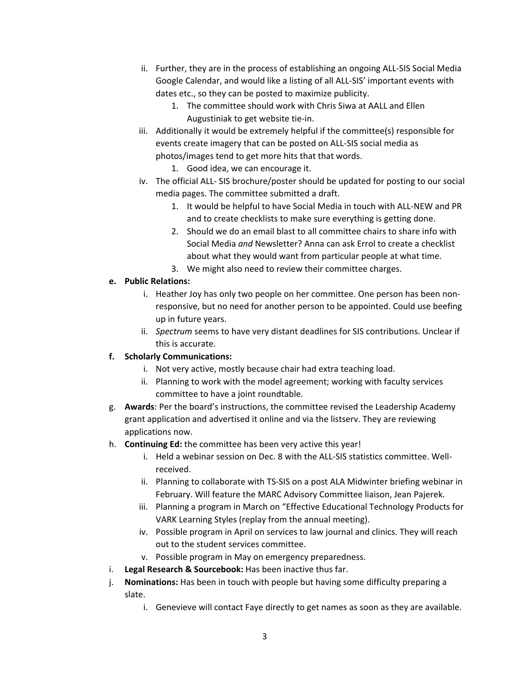- ii. Further, they are in the process of establishing an ongoing ALL-SIS Social Media Google Calendar, and would like a listing of all ALL-SIS' important events with dates etc., so they can be posted to maximize publicity.
	- 1. The committee should work with Chris Siwa at AALL and Ellen Augustiniak to get website tie-in.
- iii. Additionally it would be extremely helpful if the committee(s) responsible for events create imagery that can be posted on ALL-SIS social media as photos/images tend to get more hits that that words.

1. Good idea, we can encourage it.

- iv. The official ALL- SIS brochure/poster should be updated for posting to our social media pages. The committee submitted a draft.
	- 1. It would be helpful to have Social Media in touch with ALL-NEW and PR and to create checklists to make sure everything is getting done.
	- 2. Should we do an email blast to all committee chairs to share info with Social Media *and* Newsletter? Anna can ask Errol to create a checklist about what they would want from particular people at what time.
	- 3. We might also need to review their committee charges.

# **e. Public Relations:**

- i. Heather Joy has only two people on her committee. One person has been nonresponsive, but no need for another person to be appointed. Could use beefing up in future years.
- ii. *Spectrum* seems to have very distant deadlines for SIS contributions. Unclear if this is accurate.

## **f. Scholarly Communications:**

- i. Not very active, mostly because chair had extra teaching load.
- ii. Planning to work with the model agreement; working with faculty services committee to have a joint roundtable.
- g. **Awards**: Per the board's instructions, the committee revised the Leadership Academy grant application and advertised it online and via the listserv. They are reviewing applications now.
- h. **Continuing Ed:** the committee has been very active this year!
	- i. Held a webinar session on Dec. 8 with the ALL-SIS statistics committee. Wellreceived.
	- ii. Planning to collaborate with TS-SIS on a post ALA Midwinter briefing webinar in February. Will feature the MARC Advisory Committee liaison, Jean Pajerek.
	- iii. Planning a program in March on "Effective Educational Technology Products for VARK Learning Styles (replay from the annual meeting).
	- iv. Possible program in April on services to law journal and clinics. They will reach out to the student services committee.
	- v. Possible program in May on emergency preparedness.
- i. **Legal Research & Sourcebook:** Has been inactive thus far.
- j. **Nominations:** Has been in touch with people but having some difficulty preparing a slate.
	- i. Genevieve will contact Faye directly to get names as soon as they are available.